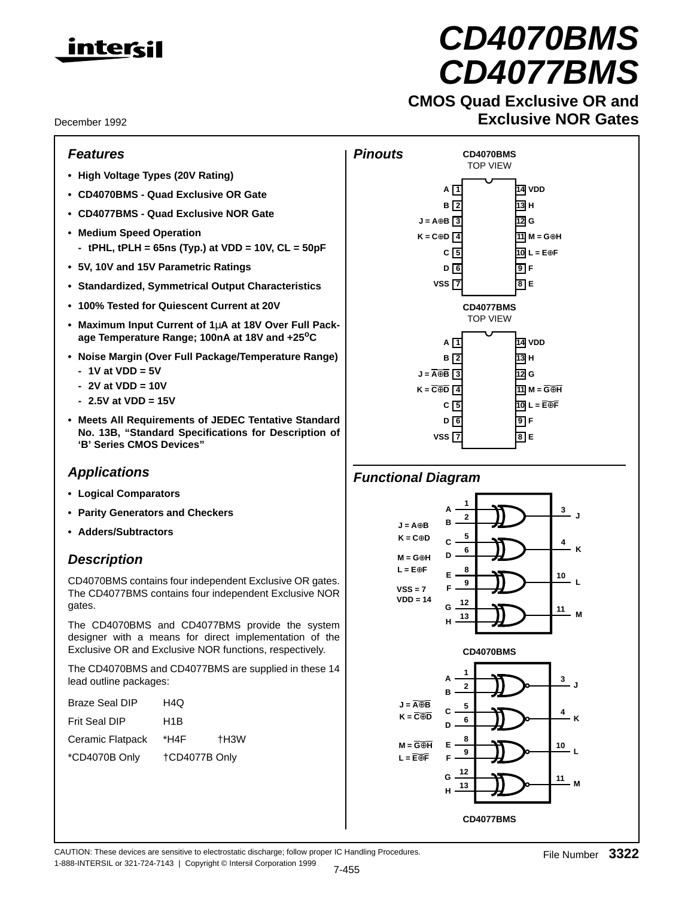

December 1992

## **Features**

- **High Voltage Types (20V Rating)**
- **CD4070BMS Quad Exclusive OR Gate**
- **CD4077BMS Quad Exclusive NOR Gate**
- **Medium Speed Operation - tPHL, tPLH = 65ns (Typ.) at VDD = 10V, CL = 50pF**
- **5V, 10V and 15V Parametric Ratings**
- **Standardized, Symmetrical Output Characteristics**
- **100% Tested for Quiescent Current at 20V**
- **Maximum Input Current of 1**µ**A at 18V Over Full Package Temperature Range; 100nA at 18V and +25oC**
- **Noise Margin (Over Full Package/Temperature Range) - 1V at VDD = 5V**
	- **2V at VDD = 10V**
	- **2.5V at VDD = 15V**
- **Meets All Requirements of JEDEC Tentative Standard No. 13B, "Standard Specifications for Description of 'B' Series CMOS Devices"**

# **Applications**

- **Logical Comparators**
- **Parity Generators and Checkers**
- **Adders/Subtractors**

# **Description**

CD4070BMS contains four independent Exclusive OR gates. The CD4077BMS contains four independent Exclusive NOR gates.

The CD4070BMS and CD4077BMS provide the system designer with a means for direct implementation of the Exclusive OR and Exclusive NOR functions, respectively.

The CD4070BMS and CD4077BMS are supplied in these 14 lead outline packages:

| <b>Braze Seal DIP</b> | H4Q           |      |
|-----------------------|---------------|------|
| Frit Seal DIP         | H1B           |      |
| Ceramic Flatpack      | *H4F          | +H3W |
| *CD4070B Only         | +CD4077B Only |      |



**CD4070BMS**

# **Exclusive NOR Gates**



# **Functional Diagram**



CAUTION: These devices are sensitive to electrostatic discharge; follow proper IC Handling Procedures. 1-888-INTERSIL or 321-724-7143 | Copyright © Intersil Corporation 1999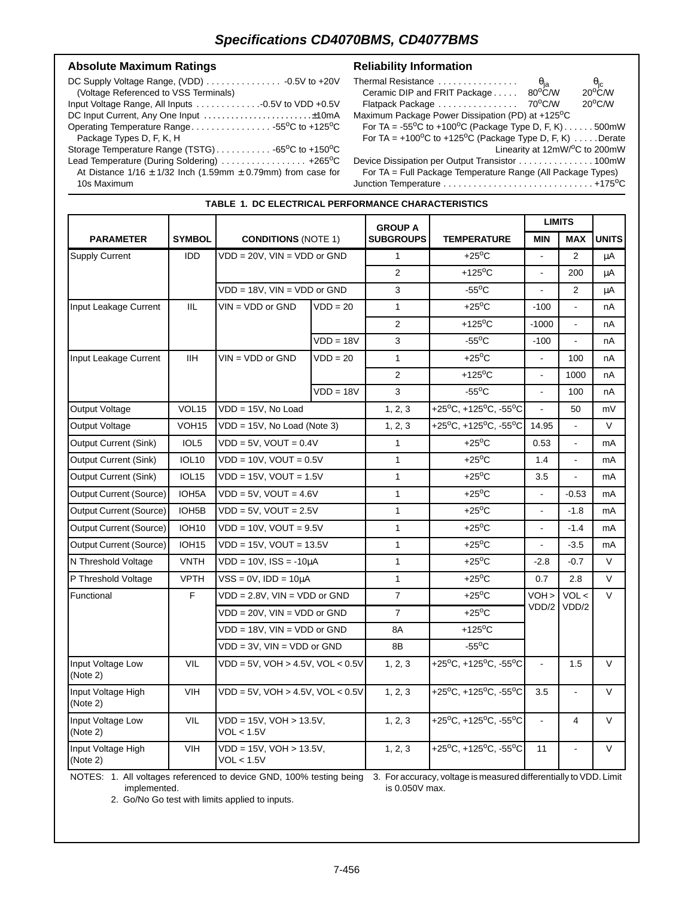**TABLE 1. DC ELECTRICAL PERFORMANCE CHARACTERISTICS**

## Absolute Maximum Ratings **Reliability Information**

| (Voltage Referenced to VSS Terminals)                                |
|----------------------------------------------------------------------|
|                                                                      |
|                                                                      |
| Operating Temperature Range55°C to +125°C                            |
| Package Types D, F, K, H                                             |
|                                                                      |
| Lead Temperature (During Soldering)  +265°C                          |
| At Distance $1/16 \pm 1/32$ lnch (1.59mm $\pm$ 0.79mm) from case for |
| 10s Maximum                                                          |

| Thermal Resistance                                                          |                                         |                                                 |
|-----------------------------------------------------------------------------|-----------------------------------------|-------------------------------------------------|
| Ceramic DIP and FRIT Package                                                | $\frac{\theta_{\rm ja}}{80^{\rm o}$ C/W | $\frac{\theta_{\rm jc}}{20^{\circ} \text{C/W}}$ |
| Flatpack Package                                                            | 70°C/W                                  | $20^{\circ}$ C/W                                |
| Maximum Package Power Dissipation (PD) at +125°C                            |                                         |                                                 |
| For TA = $-55^{\circ}$ C to $+100^{\circ}$ C (Package Type D, F, K)500mW    |                                         |                                                 |
| For TA = $+100^{\circ}$ C to $+125^{\circ}$ C (Package Type D, F, K) Derate |                                         |                                                 |
|                                                                             |                                         | Linearity at 12mW/°C to 200mW                   |
| Device Dissipation per Output Transistor 100mW                              |                                         |                                                 |
|                                                                             |                                         |                                                 |

For TA = Full Package Temperature Range (All Package Types) Junction Temperature . . . . . . . . . . . . . . . . . . . . . . . . . . . . . . +175oC

|                                |                    | <b>CONDITIONS (NOTE 1)</b>               |                             | <b>GROUP A</b>   |                           | <b>LIMITS</b>  |                |              |
|--------------------------------|--------------------|------------------------------------------|-----------------------------|------------------|---------------------------|----------------|----------------|--------------|
| <b>PARAMETER</b>               | <b>SYMBOL</b>      |                                          |                             | <b>SUBGROUPS</b> | <b>TEMPERATURE</b>        | <b>MIN</b>     | <b>MAX</b>     | <b>UNITS</b> |
| <b>Supply Current</b>          | <b>IDD</b>         | VDD = 20V, VIN = VDD or GND              |                             | $\mathbf{1}$     | $+25^{\circ}$ C           |                | 2              | μA           |
|                                |                    |                                          |                             | $\overline{2}$   | $+125$ <sup>o</sup> C     | $\overline{a}$ | 200            | μA           |
|                                |                    | VDD = 18V, VIN = VDD or GND              |                             | 3                | $-55^{\circ}$ C           |                | $\overline{2}$ | μA           |
| Input Leakage Current          | <b>IIL</b>         | $VIN = VDD$ or $GND$                     | $VDD = 20$                  | $\mathbf{1}$     | $+25^{\circ}$ C           | $-100$         |                | nA           |
|                                |                    |                                          |                             | $\overline{2}$   | +125 $\mathrm{^{\circ}C}$ | $-1000$        | $\blacksquare$ | nA           |
|                                |                    |                                          | $VDD = 18V$                 | 3                | $-55^{\circ}$ C           | $-100$         | $\blacksquare$ | nA           |
| Input Leakage Current          | <b>IIH</b>         | $VIN = VDD$ or $GND$                     | $VDD = 20$                  | $\mathbf{1}$     | $+25^{\circ}$ C           |                | 100            | nA           |
|                                |                    |                                          |                             | $\overline{2}$   | +125 $\mathrm{^{\circ}C}$ | $\overline{a}$ | 1000           | пA           |
|                                |                    |                                          | $VDD = 18V$                 | 3                | $-55^{\circ}$ C           | $\blacksquare$ | 100            | nA           |
| Output Voltage                 | VOL <sub>15</sub>  | $VDD = 15V$ . No Load                    |                             | 1, 2, 3          | +25°C, +125°C, -55°C      |                | 50             | mV           |
| Output Voltage                 | VOH <sub>15</sub>  | $VDD = 15V$ , No Load (Note 3)           |                             | 1, 2, 3          | +25°C, +125°C, -55°C      | 14.95          | $\overline{a}$ | $\vee$       |
| Output Current (Sink)          | IOL5               | $VDD = 5V$ , $VOUT = 0.4V$               |                             | $\mathbf{1}$     | $+25^{\circ}$ C           | 0.53           | $\blacksquare$ | mA           |
| Output Current (Sink)          | IOL10              | $VDD = 10V$ . $VOUT = 0.5V$              |                             | $\mathbf{1}$     | $+25^{\circ}$ C           | 1.4            | $\mathbb{Z}^+$ | mA           |
| Output Current (Sink)          | IOL <sub>15</sub>  |                                          | $VDD = 15V$ , $VOUT = 1.5V$ |                  | $+25^{\circ}$ C           | 3.5            |                | mA           |
| Output Current (Source)        | IOH <sub>5</sub> A | $VDD = 5V$ , $VOUT = 4.6V$               |                             | $\mathbf{1}$     | $+25^{\circ}$ C           | $\blacksquare$ | $-0.53$        | mA           |
| <b>Output Current (Source)</b> | IOH <sub>5</sub> B | $VDD = 5V$ , $VOUT = 2.5V$               |                             | $\mathbf{1}$     | $+25^{\circ}$ C           | $\blacksquare$ | $-1.8$         | mA           |
| <b>Output Current (Source)</b> | <b>IOH10</b>       | $VDD = 10V$ , $VOUT = 9.5V$              |                             | $\mathbf{1}$     | $+25^{\circ}$ C           |                | $-1.4$         | mA           |
| Output Current (Source)        | <b>IOH15</b>       | $VDD = 15V$ , $VOUT = 13.5V$             |                             | $\mathbf{1}$     | $+25^{\circ}$ C           | $\blacksquare$ | $-3.5$         | mA           |
| N Threshold Voltage            | <b>VNTH</b>        | $VDD = 10V$ , $ISS = -10\mu A$           |                             | $\mathbf{1}$     | $+25^{\circ}$ C           | $-2.8$         | $-0.7$         | $\vee$       |
| P Threshold Voltage            | <b>VPTH</b>        | $VSS = 0V$ , $IDD = 10\mu A$             |                             | $\mathbf{1}$     | $+25^{\circ}$ C           | 0.7            | 2.8            | $\vee$       |
| Functional                     | F                  | $VDD = 2.8V$ , $VIN = VDD$ or $GND$      |                             | $\overline{7}$   | $+25^{\circ}$ C           | VOH >          | VOL <          | $\vee$       |
|                                |                    | VDD = 20V, VIN = VDD or GND              |                             | $\overline{7}$   | $+25^{\circ}$ C           | VDD/2<br>VDD/2 |                |              |
|                                |                    | VDD = 18V, VIN = VDD or GND              |                             | 8A               | $+125$ <sup>o</sup> C     |                |                |              |
|                                |                    | $VDD = 3V$ , $VIN = VDD$ or $GND$        |                             | 8B               | $-55^{\circ}$ C           |                |                |              |
| Input Voltage Low<br>(Note 2)  | VIL                | $VDD = 5V$ , $VOH > 4.5V$ , $VOL < 0.5V$ |                             | 1, 2, 3          | +25°C, +125°C, -55°C      | $\blacksquare$ | 1.5            | $\vee$       |
| Input Voltage High<br>(Note 2) | <b>VIH</b>         | $VDD = 5V$ , $VOH > 4.5V$ , $VOL < 0.5V$ |                             | 1, 2, 3          | +25°C, +125°C, -55°C      | 3.5            |                | $\vee$       |
| Input Voltage Low<br>(Note 2)  | VIL                | VDD = 15V, VOH > 13.5V,<br>VOL < 1.5V    |                             | 1, 2, 3          | +25°C, +125°C, -55°C      |                | 4              | $\vee$       |
| Input Voltage High<br>(Note 2) | <b>VIH</b>         | VDD = 15V, VOH > 13.5V,<br>VOL < 1.5V    |                             | 1, 2, 3          | +25°C, +125°C, -55°C      | 11             | $\blacksquare$ | $\vee$       |

NOTES: 1. All voltages referenced to device GND, 100% testing being 3. For accuracy, voltage is measured differentially to VDD. Limit implemented. is 0.050V max.

2. Go/No Go test with limits applied to inputs.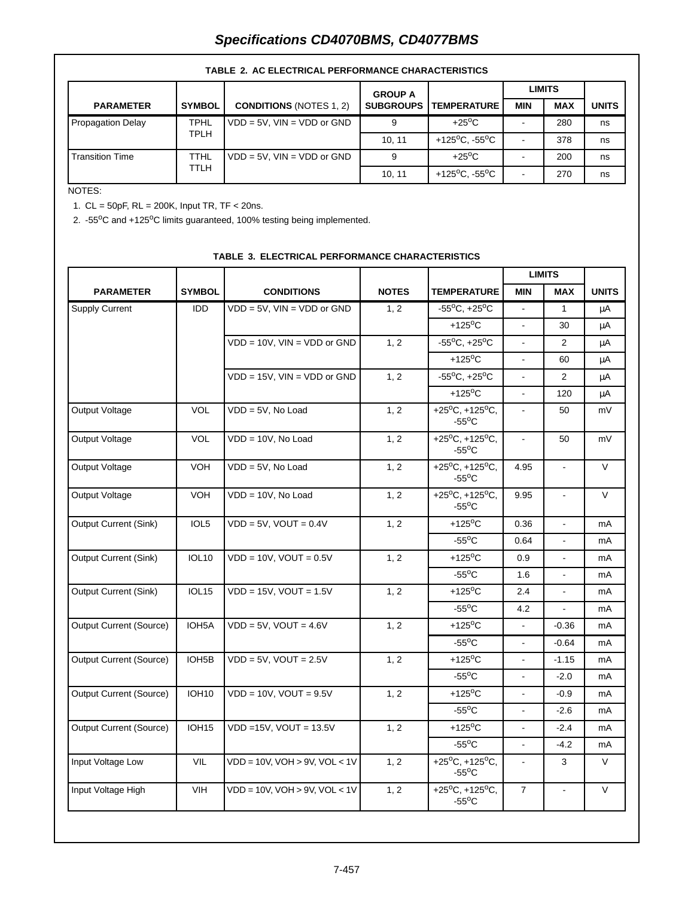# **Specifications CD4070BMS, CD4077BMS**

|                        |                            |                                   | <b>GROUP A</b>   |                                         |            | <b>LIMITS</b> |              |
|------------------------|----------------------------|-----------------------------------|------------------|-----------------------------------------|------------|---------------|--------------|
| <b>PARAMETER</b>       | <b>SYMBOL</b>              | <b>CONDITIONS (NOTES 1, 2)</b>    | <b>SUBGROUPS</b> | <b>TEMPERATURE</b>                      | <b>MIN</b> | <b>MAX</b>    | <b>UNITS</b> |
| Propagation Delay      | <b>TPHL</b><br><b>TPLH</b> | $VDD = 5V$ , $VIN = VDD$ or $GND$ | 9                | $+25^{\circ}$ C                         |            | 280           | ns           |
|                        |                            |                                   | 10.11            | +125 <sup>o</sup> C. -55 <sup>o</sup> C |            | 378           | ns           |
| <b>Transition Time</b> | TTHL                       | $VDD = 5V$ , $VIN = VDD$ or $GND$ | 9                | $+25^{\circ}$ C                         |            | 200           | ns           |
|                        | TTLH                       |                                   | 10.11            | +125 <sup>o</sup> C, -55 <sup>o</sup> C |            | 270           | ns           |

## **TABLE 2. AC ELECTRICAL PERFORMANCE CHARACTERISTICS**

## NOTES:

1. CL = 50pF, RL = 200K, Input TR, TF < 20ns.

2. -55°C and +125°C limits guaranteed, 100% testing being implemented.

|                                |                    |                                       |              |                                                             | <b>LIMITS</b>  |                |                |
|--------------------------------|--------------------|---------------------------------------|--------------|-------------------------------------------------------------|----------------|----------------|----------------|
| <b>PARAMETER</b>               | <b>SYMBOL</b>      | <b>CONDITIONS</b>                     | <b>NOTES</b> | <b>TEMPERATURE</b>                                          | <b>MIN</b>     | <b>MAX</b>     | <b>UNITS</b>   |
| <b>Supply Current</b>          | <b>IDD</b>         | $VDD = 5V$ , $VIN = VDD$ or $GND$     | 1, 2         | $-55^{\circ}$ C, $+25^{\circ}$ C                            | $\mathbf{r}$   | $\mathbf{1}$   | μA             |
|                                |                    |                                       |              | $+125$ <sup>o</sup> C                                       |                | 30             | μA             |
|                                |                    | $VDD = 10V$ , $VIN = VDD$ or $GND$    | 1, 2         | $-55^{\circ}$ C, $+25^{\circ}$ C                            | $\blacksquare$ | 2              | μA             |
|                                |                    |                                       |              | $+125$ <sup>o</sup> C                                       | ÷.             | 60             | μA             |
|                                |                    | $VDD = 15V$ , $VIN = VDD$ or $GND$    | 1, 2         | $-55^{\circ}$ C, $+25^{\circ}$ C                            |                | $\overline{2}$ | μA             |
|                                |                    |                                       |              | $+125$ <sup>o</sup> C                                       | $\blacksquare$ | 120            | μA             |
| Output Voltage                 | <b>VOL</b>         | $VDD = 5V$ , No Load                  | 1, 2         | +25 $^{\circ}$ C, +125 $^{\circ}$ C,<br>$-55^{\circ}$ C     | $\blacksquare$ | 50             | mV             |
| Output Voltage                 | <b>VOL</b>         | VDD = 10V, No Load                    | 1, 2         | +25 $^{\circ}$ C, +125 $^{\circ}$ C,<br>$-55^{\circ}$ C     | $\blacksquare$ | 50             | mV             |
| Output Voltage                 | <b>VOH</b>         | $VDD = 5V$ , No Load                  | 1, 2         | +25 $^{\circ}$ C, +125 $^{\circ}$ C,<br>$-55^{\circ}$ C     | 4.95           | $\overline{a}$ | $\vee$         |
| Output Voltage                 | <b>VOH</b>         | VDD = 10V, No Load                    | 1, 2         | $+25^{\circ}$ C, +125°C,<br>$-55^{\circ}$ C                 | 9.95           | $\mathbf{r}$   | $\vee$         |
| <b>Output Current (Sink)</b>   | IOL5               | $VDD = 5V$ , $VOUT = 0.4V$            | 1, 2         | $+125$ <sup>o</sup> C                                       | 0.36           | ä,             | mA             |
|                                |                    |                                       |              | $-55^{\circ}$ C                                             | 0.64           | ÷.             | mA             |
| <b>Output Current (Sink)</b>   | <b>IOL10</b>       | $VDD = 10V$ , $VOUT = 0.5V$           | 1, 2         | $+125$ <sup>o</sup> C                                       | 0.9            |                | mA             |
|                                |                    |                                       |              | $-55^{\circ}$ C                                             | 1.6            |                | mA             |
| <b>Output Current (Sink)</b>   | IOL <sub>15</sub>  | $VDD = 15V$ , $VOUT = 1.5V$           | 1, 2         | $+125$ <sup>o</sup> C                                       | 2.4            | $\overline{a}$ | mA             |
|                                |                    |                                       |              | $-55^{\circ}$ C                                             | 4.2            |                | m <sub>A</sub> |
| <b>Output Current (Source)</b> | IOH <sub>5</sub> A | $VDD = 5V$ , $VOUT = 4.6V$            | 1, 2         | $+125$ <sup>o</sup> C                                       | $\blacksquare$ | $-0.36$        | mA             |
|                                |                    |                                       |              | $-55^{\circ}$ C                                             | $\blacksquare$ | $-0.64$        | mA             |
| <b>Output Current (Source)</b> | IOH <sub>5</sub> B | $VDD = 5V$ , $VOUT = 2.5V$            | 1, 2         | $+125$ <sup>o</sup> C                                       | $\blacksquare$ | $-1.15$        | mA             |
|                                |                    |                                       |              | $-55^{\circ}$ C                                             |                | $-2.0$         | mA             |
| <b>Output Current (Source)</b> | <b>IOH10</b>       | $VDD = 10V$ , $VOUT = 9.5V$           | 1, 2         | $+125$ <sup>o</sup> C                                       | $\blacksquare$ | $-0.9$         | mA             |
|                                |                    |                                       |              | $-55^{\circ}$ C                                             | $\blacksquare$ | $-2.6$         | mA             |
| <b>Output Current (Source)</b> | <b>IOH15</b>       | $VDD = 15V$ , $VOUT = 13.5V$          | 1, 2         | $+125$ <sup>o</sup> C                                       | $\sim$         | $-2.4$         | mA             |
|                                |                    |                                       |              | $-55^{\circ}$ C                                             |                | $-4.2$         | mA             |
| Input Voltage Low              | <b>VIL</b>         | VDD = 10V, VOH > 9V, VOL < 1V         | 1, 2         | +25 <sup>o</sup> C, +125 <sup>o</sup> C,<br>$-55^{\circ}$ C | $\blacksquare$ | 3              | $\vee$         |
| Input Voltage High             | VIH                | $VDD = 10V$ , $VOH > 9V$ , $VOL < 1V$ | 1, 2         | +25 $^{\circ}$ C, +125 $^{\circ}$ C,<br>$-55^{\circ}$ C     | $\overline{7}$ | $\blacksquare$ | V              |

## **TABLE 3. ELECTRICAL PERFORMANCE CHARACTERISTICS**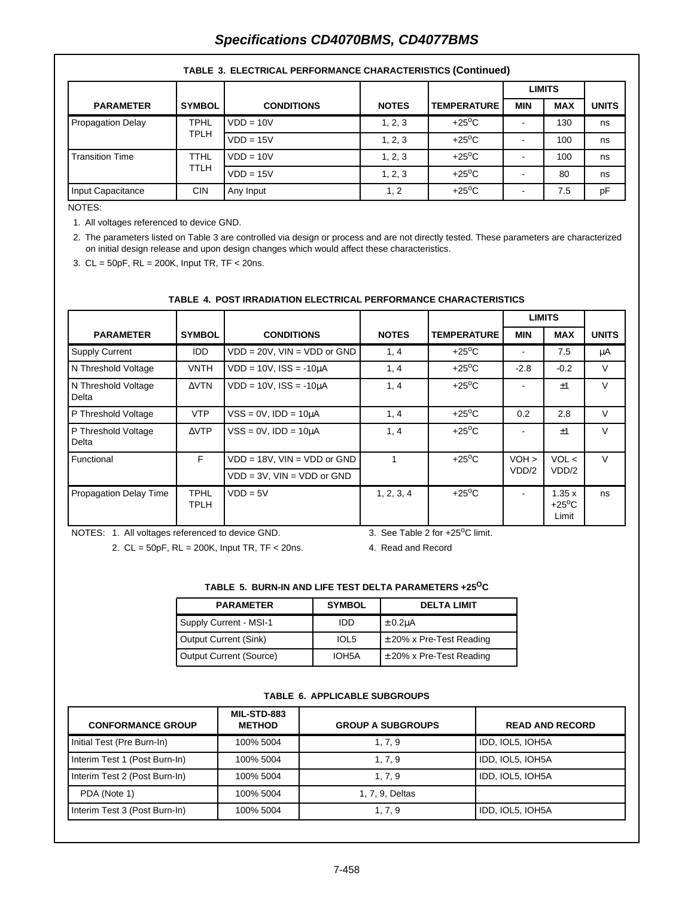# **Specifications CD4070BMS, CD4077BMS**

|                          |               |                   |              |                    | <b>LIMITS</b> |            |              |
|--------------------------|---------------|-------------------|--------------|--------------------|---------------|------------|--------------|
| <b>PARAMETER</b>         | <b>SYMBOL</b> | <b>CONDITIONS</b> | <b>NOTES</b> | <b>TEMPERATURE</b> | <b>MIN</b>    | <b>MAX</b> | <b>UNITS</b> |
| <b>Propagation Delay</b> | <b>TPHL</b>   | $VDD = 10V$       | 1, 2, 3      | $+25^{\circ}$ C    |               | 130        | ns           |
| TPLH                     |               | $VDD = 15V$       | 1, 2, 3      | $+25^{\circ}$ C    |               | 100        | ns           |
| <b>Transition Time</b>   | TTHL          | $VDD = 10V$       | 1, 2, 3      | $+25^{\circ}$ C    |               | 100        | ns           |
|                          | TTLH          | $VDD = 15V$       | 1, 2, 3      | $+25^{\circ}$ C    |               | 80         | ns           |
| Input Capacitance        | <b>CIN</b>    | Any Input         | 1, 2         | $+25^{\circ}$ C    |               | 7.5        | pF           |

#### **TABLE 3. ELECTRICAL PERFORMANCE CHARACTERISTICS (Continued)**

NOTES:

1. All voltages referenced to device GND.

2. The parameters listed on Table 3 are controlled via design or process and are not directly tested. These parameters are characterized on initial design release and upon design changes which would affect these characteristics.

3. CL = 50pF, RL = 200K, Input TR, TF < 20ns.

### **TABLE 4. POST IRRADIATION ELECTRICAL PERFORMANCE CHARACTERISTICS**

|                               |                            |                                    |              |                    |            | <b>LIMITS</b>                     |              |
|-------------------------------|----------------------------|------------------------------------|--------------|--------------------|------------|-----------------------------------|--------------|
| <b>PARAMETER</b>              | <b>SYMBOL</b>              | <b>CONDITIONS</b>                  | <b>NOTES</b> | <b>TEMPERATURE</b> | <b>MIN</b> | <b>MAX</b>                        | <b>UNITS</b> |
| <b>Supply Current</b>         | <b>IDD</b>                 | $VDD = 20V$ , $VIN = VDD$ or $GND$ | 1, 4         | $+25^{\circ}$ C    |            | 7.5                               | μA           |
| N Threshold Voltage           | <b>VNTH</b>                | $VDD = 10V$ . $ISS = -10uA$        | 1, 4         | $+25^{\circ}$ C    | $-2.8$     | $-0.2$                            | V            |
| N Threshold Voltage<br>Delta  | $\triangle VTN$            | $VDD = 10V$ , $ISS = -10\mu A$     | 1, 4         | $+25^{\circ}$ C    |            | ±1                                | $\vee$       |
| P Threshold Voltage           | <b>VTP</b>                 | $VSS = 0V$ , $IDD = 10\mu A$       | 1, 4         | $+25^{\circ}$ C    | 0.2        | 2.8                               | $\vee$       |
| P Threshold Voltage<br>Delta  | $\triangle VTP$            | $VSS = 0V$ , $IDD = 10\mu A$       | 1, 4         | $+25^{\circ}$ C    |            | ±1                                | $\vee$       |
| F.<br>Functional              |                            | $VDD = 18V$ , $VIN = VDD$ or $GND$ | 1            | $+25^{\circ}$ C    | $VOH$ >    | VOL <                             | $\vee$       |
|                               |                            | $VDD = 3V$ , $VIN = VDD$ or $GND$  |              |                    | VDD/2      | VDD/2                             |              |
| <b>Propagation Delay Time</b> | <b>TPHL</b><br><b>TPLH</b> | $VDD = 5V$                         | 1, 2, 3, 4   | $+25^{\circ}$ C    |            | 1.35x<br>$+25^{\circ}$ C<br>Limit | ns           |

NOTES: 1. All voltages referenced to device GND.

3. See Table 2 for +25°C limit.

2. CL = 50pF, RL = 200K, Input TR, TF < 20ns.

4. Read and Record

## **TABLE 5. BURN-IN AND LIFE TEST DELTA PARAMETERS +25OC**

| <b>PARAMETER</b>        | <b>SYMBOL</b>      | <b>DELTA LIMIT</b>           |
|-------------------------|--------------------|------------------------------|
| Supply Current - MSI-1  | IDD.               | $\pm 0.2$ uA                 |
| Output Current (Sink)   | IOL <sub>5</sub>   | $\pm$ 20% x Pre-Test Reading |
| Output Current (Source) | IOH <sub>5</sub> A | $\pm$ 20% x Pre-Test Reading |

#### **TABLE 6. APPLICABLE SUBGROUPS**

| <b>CONFORMANCE GROUP</b>      | MIL-STD-883<br><b>METHOD</b> | <b>GROUP A SUBGROUPS</b> | <b>READ AND RECORD</b> |
|-------------------------------|------------------------------|--------------------------|------------------------|
| Initial Test (Pre Burn-In)    | 100% 5004                    | 1, 7, 9                  | IDD, IOL5, IOH5A       |
| Interim Test 1 (Post Burn-In) | 100% 5004                    | 1, 7, 9                  | IDD, IOL5, IOH5A       |
| Interim Test 2 (Post Burn-In) | 100% 5004                    | 1, 7, 9                  | IDD, IOL5, IOH5A       |
| PDA (Note 1)                  | 100% 5004                    | 1, 7, 9, Deltas          |                        |
| Interim Test 3 (Post Burn-In) | 100% 5004                    | 1, 7, 9                  | IDD, IOL5, IOH5A       |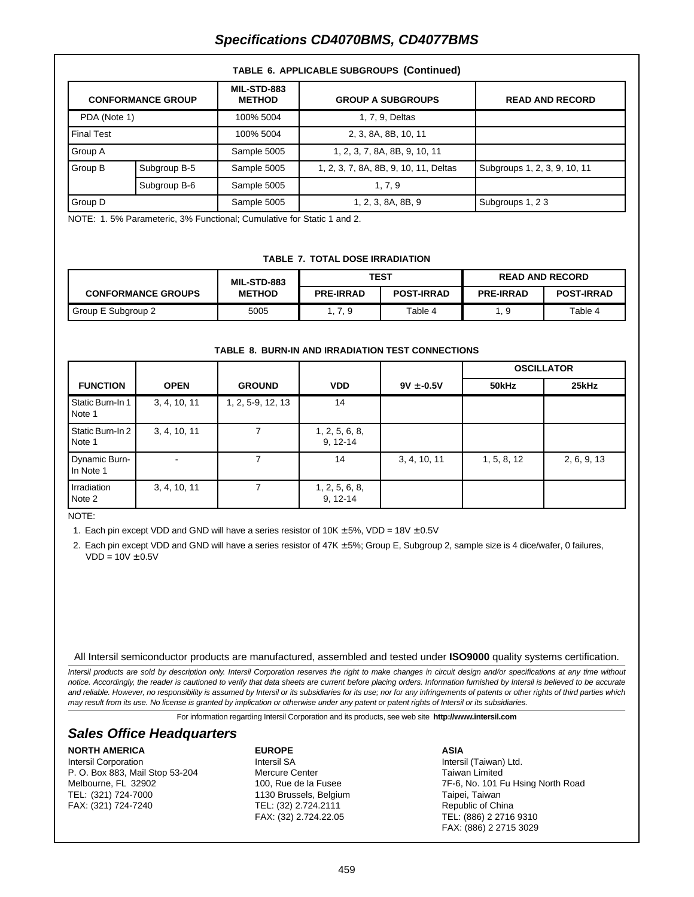# **Specifications CD4070BMS, CD4077BMS**

| <b>CONFORMANCE GROUP</b> |              | <b>MIL-STD-883</b><br><b>METHOD</b> | <b>GROUP A SUBGROUPS</b>              | <b>READ AND RECORD</b>       |  |  |  |
|--------------------------|--------------|-------------------------------------|---------------------------------------|------------------------------|--|--|--|
| PDA (Note 1)             |              | 100% 5004                           | 1, 7, 9, Deltas                       |                              |  |  |  |
| <b>Final Test</b>        |              | 100% 5004                           | 2, 3, 8A, 8B, 10, 11                  |                              |  |  |  |
| Group A                  |              | Sample 5005                         | 1, 2, 3, 7, 8A, 8B, 9, 10, 11         |                              |  |  |  |
| Group B                  | Subgroup B-5 | Sample 5005                         | 1, 2, 3, 7, 8A, 8B, 9, 10, 11, Deltas | Subgroups 1, 2, 3, 9, 10, 11 |  |  |  |
|                          | Subgroup B-6 | Sample 5005                         | 1, 7, 9                               |                              |  |  |  |
| Group D                  |              | Sample 5005                         | 1, 2, 3, 8A, 8B, 9                    | Subgroups 1, 23              |  |  |  |

#### **TABLE 6. APPLICABLE SUBGROUPS (Continued)**

NOTE: 1. 5% Parameteric, 3% Functional; Cumulative for Static 1 and 2.

#### **TABLE 7. TOTAL DOSE IRRADIATION**

|                           | <b>MIL-STD-883</b> | TEST             |                   | <b>READ AND RECORD</b> |                   |
|---------------------------|--------------------|------------------|-------------------|------------------------|-------------------|
| <b>CONFORMANCE GROUPS</b> | <b>METHOD</b>      | <b>PRE-IRRAD</b> | <b>POST-IRRAD</b> | <b>PRE-IRRAD</b>       | <b>POST-IRRAD</b> |
| Group E Subgroup 2        | 5005               | 1, 7, 9          | Table 4           | I. 9                   | Table 4           |

#### **TABLE 8. BURN-IN AND IRRADIATION TEST CONNECTIONS**

|                            |              |                   |                                |                | <b>OSCILLATOR</b> |             |
|----------------------------|--------------|-------------------|--------------------------------|----------------|-------------------|-------------|
| <b>FUNCTION</b>            | <b>OPEN</b>  | <b>GROUND</b>     | <b>VDD</b>                     | $9V \pm -0.5V$ | 50kHz             | 25kHz       |
| Static Burn-In 1<br>Note 1 | 3, 4, 10, 11 | 1, 2, 5-9, 12, 13 | 14                             |                |                   |             |
| Static Burn-In 2<br>Note 1 | 3, 4, 10, 11 |                   | 1, 2, 5, 6, 8,<br>$9, 12 - 14$ |                |                   |             |
| Dynamic Burn-<br>In Note 1 |              |                   | 14                             | 3, 4, 10, 11   | 1, 5, 8, 12       | 2, 6, 9, 13 |
| Irradiation<br>Note 2      | 3, 4, 10, 11 |                   | 1, 2, 5, 6, 8,<br>$9, 12 - 14$ |                |                   |             |

NOTE:

1. Each pin except VDD and GND will have a series resistor of  $10K \pm 5\%$ , VDD =  $18V \pm 0.5V$ 

2. Each pin except VDD and GND will have a series resistor of 47K ± 5%; Group E, Subgroup 2, sample size is 4 dice/wafer, 0 failures,  $VDD = 10V \pm 0.5V$ 

All Intersil semiconductor products are manufactured, assembled and tested under **ISO9000** quality systems certification.

Intersil products are sold by description only. Intersil Corporation reserves the right to make changes in circuit design and/or specifications at any time without notice. Accordingly, the reader is cautioned to verify that data sheets are current before placing orders. Information furnished by Intersil is believed to be accurate and reliable. However, no responsibility is assumed by Intersil or its subsidiaries for its use; nor for any infringements of patents or other rights of third parties which may result from its use. No license is granted by implication or otherwise under any patent or patent rights of Intersil or its subsidiaries.

For information regarding Intersil Corporation and its products, see web site **http://www.intersil.com**

## **Sales Office Headquarters**

#### **NORTH AMERICA**

Intersil Corporation P. O. Box 883, Mail Stop 53-204 Melbourne, FL 32902 TEL: (321) 724-7000 FAX: (321) 724-7240

### **EUROPE**

Intersil SA Mercure Center 100, Rue de la Fusee 1130 Brussels, Belgium TEL: (32) 2.724.2111 FAX: (32) 2.724.22.05

#### **ASIA**

Intersil (Taiwan) Ltd. Taiwan Limited 7F-6, No. 101 Fu Hsing North Road Taipei, Taiwan Republic of China TEL: (886) 2 2716 9310 FAX: (886) 2 2715 3029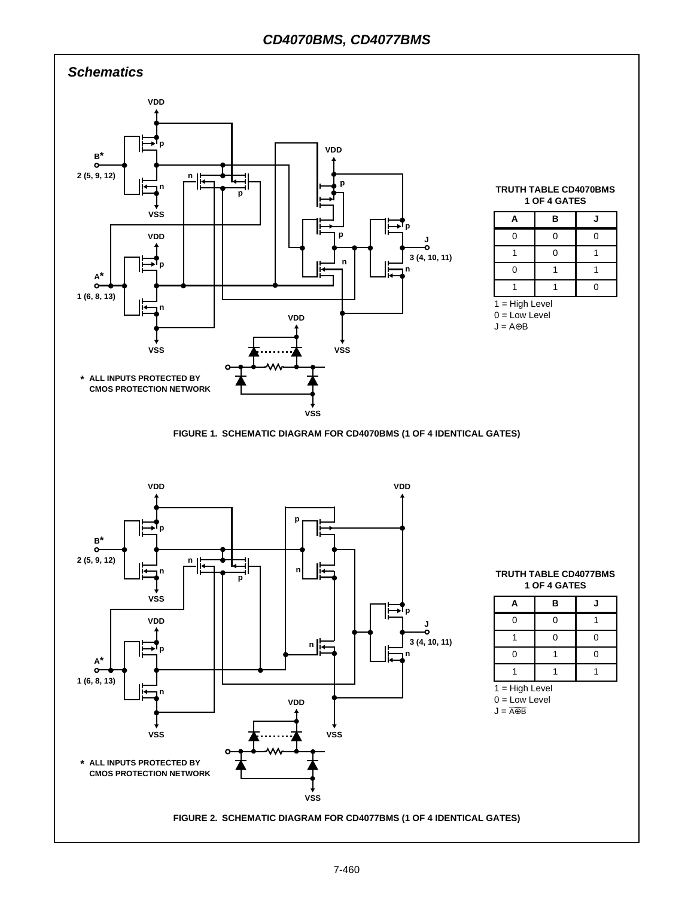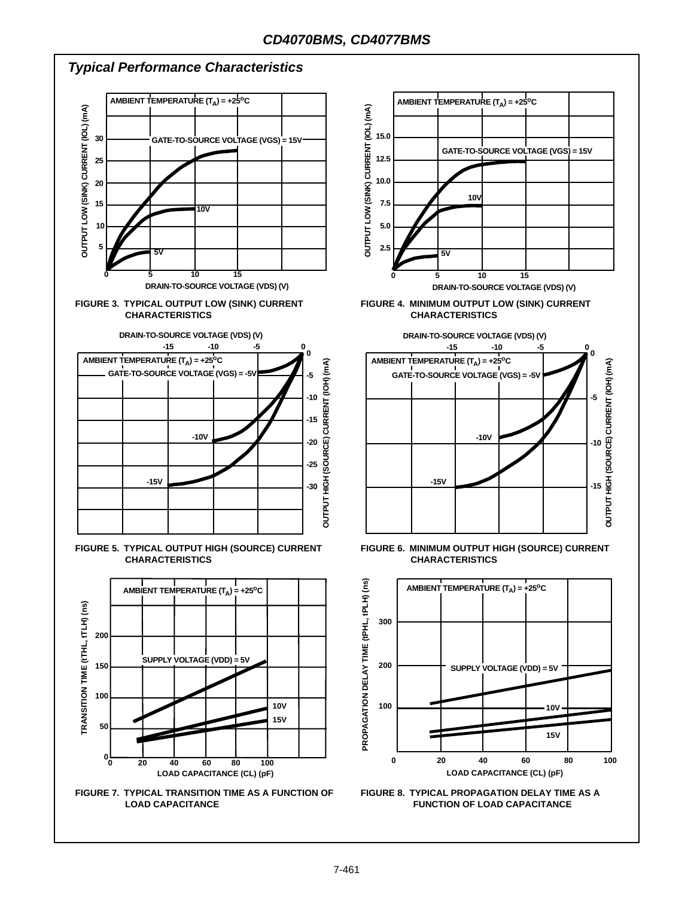